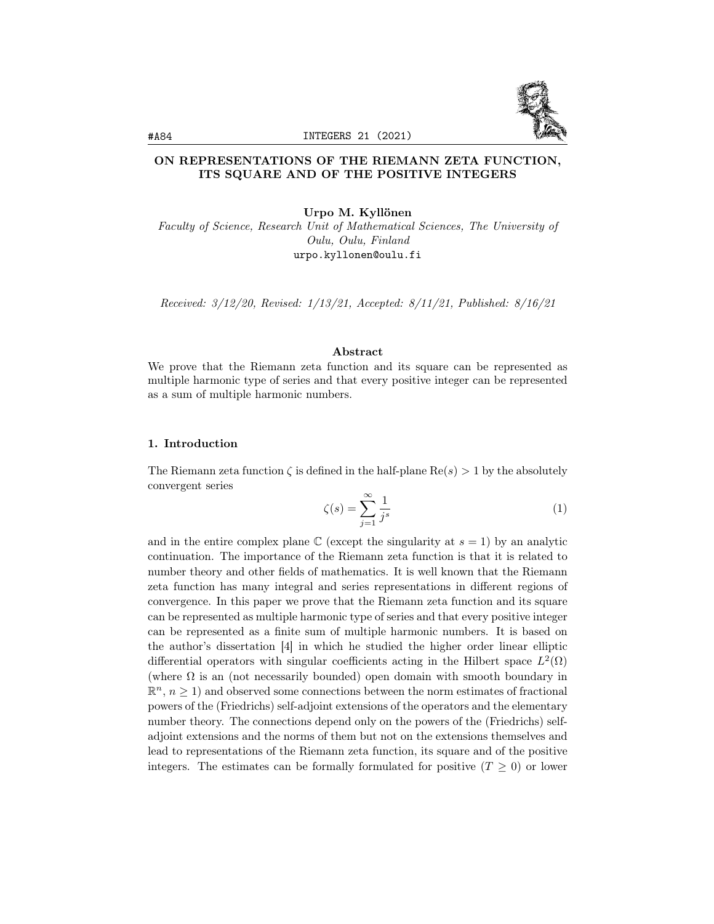

# ON REPRESENTATIONS OF THE RIEMANN ZETA FUNCTION, ITS SQUARE AND OF THE POSITIVE INTEGERS

Urpo M. Kyllönen

Faculty of Science, Research Unit of Mathematical Sciences, The University of Oulu, Oulu, Finland urpo.kyllonen@oulu.fi

Received: 3/12/20, Revised: 1/13/21, Accepted: 8/11/21, Published: 8/16/21

# Abstract

We prove that the Riemann zeta function and its square can be represented as multiple harmonic type of series and that every positive integer can be represented as a sum of multiple harmonic numbers.

## 1. Introduction

The Riemann zeta function  $\zeta$  is defined in the half-plane  $\text{Re}(s) > 1$  by the absolutely convergent series

$$
\zeta(s) = \sum_{j=1}^{\infty} \frac{1}{j^s} \tag{1}
$$

and in the entire complex plane  $\mathbb C$  (except the singularity at  $s = 1$ ) by an analytic continuation. The importance of the Riemann zeta function is that it is related to number theory and other fields of mathematics. It is well known that the Riemann zeta function has many integral and series representations in different regions of convergence. In this paper we prove that the Riemann zeta function and its square can be represented as multiple harmonic type of series and that every positive integer can be represented as a finite sum of multiple harmonic numbers. It is based on the author's dissertation [4] in which he studied the higher order linear elliptic differential operators with singular coefficients acting in the Hilbert space  $L^2(\Omega)$ (where  $\Omega$  is an (not necessarily bounded) open domain with smooth boundary in  $\mathbb{R}^n$ ,  $n \geq 1$ ) and observed some connections between the norm estimates of fractional powers of the (Friedrichs) self-adjoint extensions of the operators and the elementary number theory. The connections depend only on the powers of the (Friedrichs) selfadjoint extensions and the norms of them but not on the extensions themselves and lead to representations of the Riemann zeta function, its square and of the positive integers. The estimates can be formally formulated for positive  $(T \geq 0)$  or lower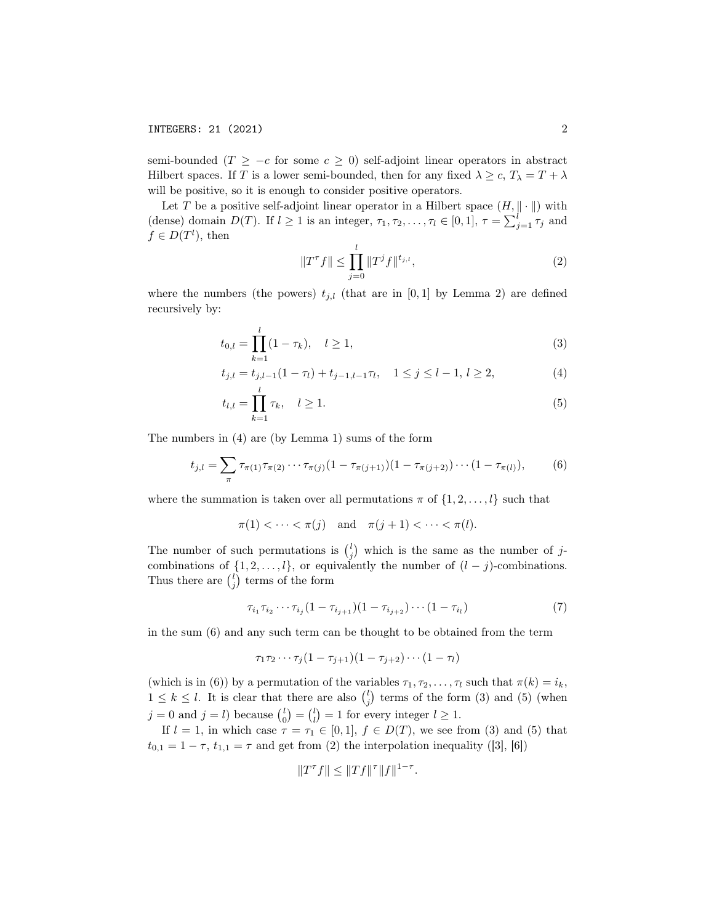semi-bounded ( $T \geq -c$  for some  $c \geq 0$ ) self-adjoint linear operators in abstract Hilbert spaces. If T is a lower semi-bounded, then for any fixed  $\lambda \geq c$ ,  $T_{\lambda} = T + \lambda$ will be positive, so it is enough to consider positive operators.

Let T be a positive self-adjoint linear operator in a Hilbert space  $(H, \|\cdot\|)$  with (dense) domain  $D(T)$ . If  $l \geq 1$  is an integer,  $\tau_1, \tau_2, \ldots, \tau_l \in [0, 1], \tau = \sum_{j=1}^l \tau_j$  and  $f \in D(T^l)$ , then

$$
||T^{\tau}f|| \le \prod_{j=0}^{l} ||T^{j}f||^{t_{j,l}}, \qquad (2)
$$

where the numbers (the powers)  $t_{j,l}$  (that are in [0,1] by Lemma 2) are defined recursively by:

$$
t_{0,l} = \prod_{k=1}^{l} (1 - \tau_k), \quad l \ge 1,
$$
\n(3)

$$
t_{j,l} = t_{j,l-1}(1 - \tau_l) + t_{j-1,l-1}\tau_l, \quad 1 \le j \le l-1, l \ge 2,
$$
\n<sup>(4)</sup>

$$
t_{l,l} = \prod_{k=1}^{l} \tau_k, \quad l \ge 1.
$$
 (5)

The numbers in (4) are (by Lemma 1) sums of the form

$$
t_{j,l} = \sum_{\pi} \tau_{\pi(1)} \tau_{\pi(2)} \cdots \tau_{\pi(j)} (1 - \tau_{\pi(j+1)}) (1 - \tau_{\pi(j+2)}) \cdots (1 - \tau_{\pi(l)}),
$$
 (6)

where the summation is taken over all permutations  $\pi$  of  $\{1, 2, \ldots, l\}$  such that

$$
\pi(1) < \cdots < \pi(j) \quad \text{and} \quad \pi(j+1) < \cdots < \pi(l).
$$

The number of such permutations is  $\binom{l}{j}$  which is the same as the number of jcombinations of  $\{1, 2, \ldots, l\}$ , or equivalently the number of  $(l - j)$ -combinations. Thus there are  $\binom{l}{j}$  terms of the form

$$
\tau_{i_1}\tau_{i_2}\cdots\tau_{i_j}(1-\tau_{i_{j+1}})(1-\tau_{i_{j+2}})\cdots(1-\tau_{i_l})
$$
\n(7)

in the sum (6) and any such term can be thought to be obtained from the term

$$
\tau_1 \tau_2 \cdots \tau_j (1 - \tau_{j+1})(1 - \tau_{j+2}) \cdots (1 - \tau_l)
$$

(which is in (6)) by a permutation of the variables  $\tau_1, \tau_2, \ldots, \tau_l$  such that  $\pi(k) = i_k$ ,  $1 \leq k \leq l$ . It is clear that there are also  $\binom{l}{j}$  terms of the form (3) and (5) (when  $j = 0$  and  $j = l$ ) because  $\binom{l}{0} = \binom{l}{l} = 1$  for every integer  $l \geq 1$ .

If  $l = 1$ , in which case  $\tau = \tau_1 \in [0, 1], f \in D(T)$ , we see from (3) and (5) that  $t_{0,1} = 1 - \tau$ ,  $t_{1,1} = \tau$  and get from (2) the interpolation inequality ([3], [6])

$$
||T^{\tau}f|| \leq ||Tf||^{\tau}||f||^{1-\tau}.
$$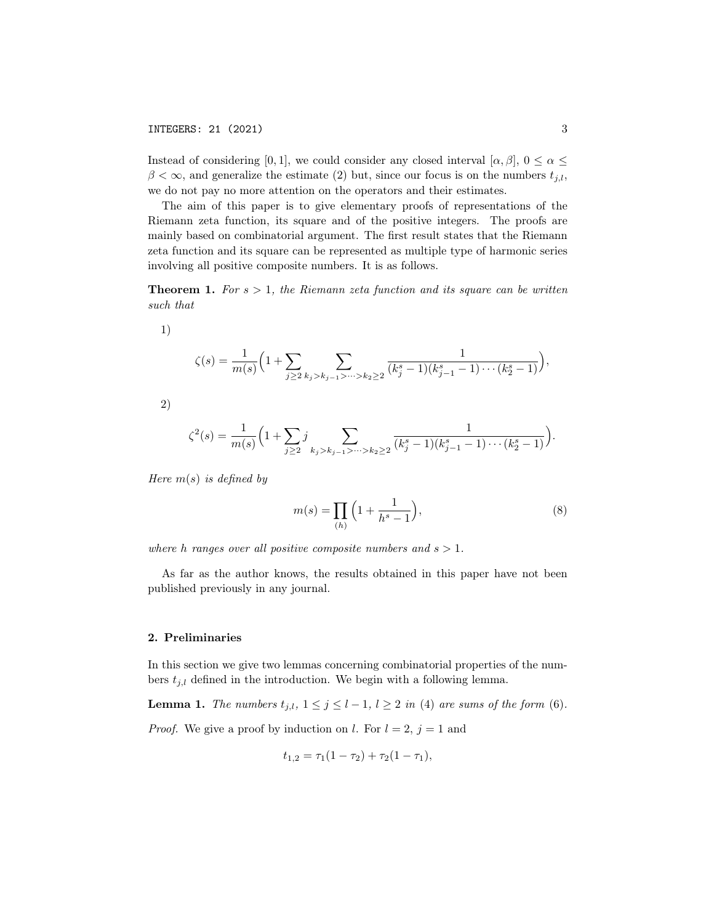Instead of considering [0, 1], we could consider any closed interval  $[\alpha, \beta]$ ,  $0 \le \alpha \le$  $\beta < \infty$ , and generalize the estimate (2) but, since our focus is on the numbers  $t_{j,l}$ , we do not pay no more attention on the operators and their estimates.

The aim of this paper is to give elementary proofs of representations of the Riemann zeta function, its square and of the positive integers. The proofs are mainly based on combinatorial argument. The first result states that the Riemann zeta function and its square can be represented as multiple type of harmonic series involving all positive composite numbers. It is as follows.

**Theorem 1.** For  $s > 1$ , the Riemann zeta function and its square can be written such that

1)

$$
\zeta(s) = \frac{1}{m(s)} \Big( 1 + \sum_{j \ge 2} \sum_{k_j > k_{j-1} > \dots > k_2 \ge 2} \frac{1}{(k_j^s - 1)(k_{j-1}^s - 1) \cdots (k_2^s - 1)} \Big),
$$

2)

$$
\zeta^{2}(s) = \frac{1}{m(s)} \left( 1 + \sum_{j \ge 2} j \sum_{k_{j} > k_{j-1} > \dots > k_{2} \ge 2} \frac{1}{(k_{j}^{s} - 1)(k_{j-1}^{s} - 1) \cdots (k_{2}^{s} - 1)} \right).
$$

Here  $m(s)$  is defined by

$$
m(s) = \prod_{(h)} \left( 1 + \frac{1}{h^s - 1} \right),
$$
 (8)

where h ranges over all positive composite numbers and  $s > 1$ .

As far as the author knows, the results obtained in this paper have not been published previously in any journal.

#### 2. Preliminaries

In this section we give two lemmas concerning combinatorial properties of the numbers  $t_{i,l}$  defined in the introduction. We begin with a following lemma.

**Lemma 1.** The numbers  $t_{j,l}$ ,  $1 \leq j \leq l-1$ ,  $l \geq 2$  in (4) are sums of the form (6).

*Proof.* We give a proof by induction on l. For  $l = 2$ ,  $j = 1$  and

$$
t_{1,2} = \tau_1(1 - \tau_2) + \tau_2(1 - \tau_1),
$$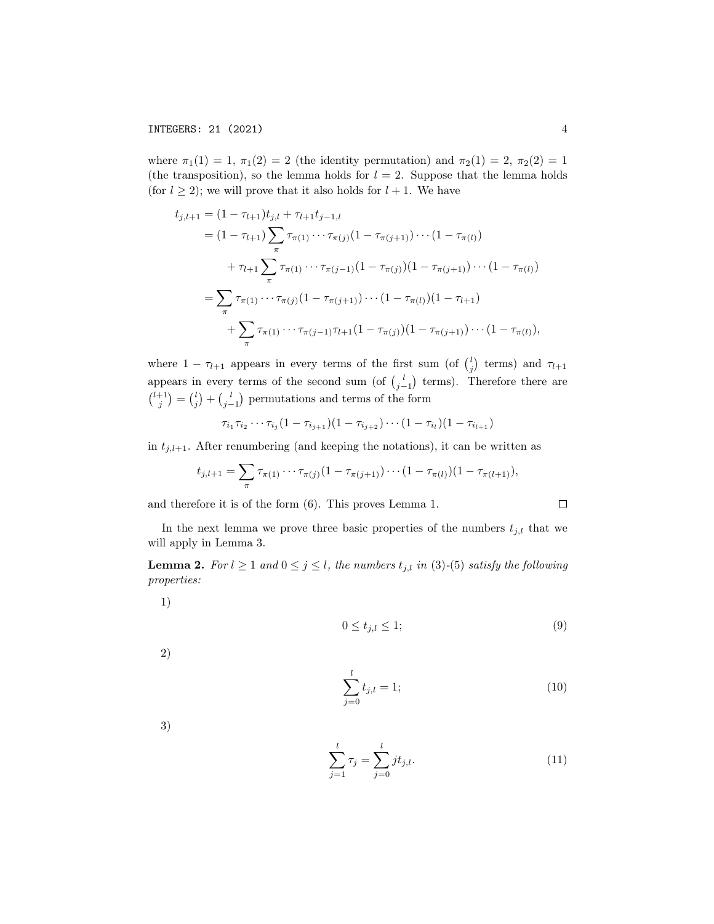where  $\pi_1(1) = 1$ ,  $\pi_1(2) = 2$  (the identity permutation) and  $\pi_2(1) = 2$ ,  $\pi_2(2) = 1$ (the transposition), so the lemma holds for  $l = 2$ . Suppose that the lemma holds (for  $l \geq 2$ ); we will prove that it also holds for  $l + 1$ . We have

$$
t_{j,l+1} = (1 - \tau_{l+1})t_{j,l} + \tau_{l+1}t_{j-1,l}
$$
  
\n
$$
= (1 - \tau_{l+1})\sum_{\pi} \tau_{\pi(1)} \cdots \tau_{\pi(j)} (1 - \tau_{\pi(j+1)}) \cdots (1 - \tau_{\pi(l)})
$$
  
\n
$$
+ \tau_{l+1} \sum_{\pi} \tau_{\pi(1)} \cdots \tau_{\pi(j-1)} (1 - \tau_{\pi(j)}) (1 - \tau_{\pi(j+1)}) \cdots (1 - \tau_{\pi(l)})
$$
  
\n
$$
= \sum_{\pi} \tau_{\pi(1)} \cdots \tau_{\pi(j)} (1 - \tau_{\pi(j+1)}) \cdots (1 - \tau_{\pi(l)}) (1 - \tau_{l+1})
$$
  
\n
$$
+ \sum_{\pi} \tau_{\pi(1)} \cdots \tau_{\pi(j-1)} \tau_{l+1} (1 - \tau_{\pi(j)}) (1 - \tau_{\pi(j+1)}) \cdots (1 - \tau_{\pi(l)}),
$$

where  $1 - \tau_{l+1}$  appears in every terms of the first sum (of  $\binom{l}{j}$  terms) and  $\tau_{l+1}$ appears in every terms of the second sum (of  $\binom{l}{j-1}$  terms). Therefore there are  $\binom{l+1}{j} = \binom{l}{j} + \binom{l}{j-1}$  permutations and terms of the form

$$
\tau_{i_1}\tau_{i_2}\cdots\tau_{i_j}(1-\tau_{i_{j+1}})(1-\tau_{i_{j+2}})\cdots(1-\tau_{i_l})(1-\tau_{i_{l+1}})
$$

in  $t_{j,l+1}$ . After renumbering (and keeping the notations), it can be written as

$$
t_{j,l+1} = \sum_{\pi} \tau_{\pi(1)} \cdots \tau_{\pi(j)} (1 - \tau_{\pi(j+1)}) \cdots (1 - \tau_{\pi(l)}) (1 - \tau_{\pi(l+1)}),
$$

and therefore it is of the form (6). This proves Lemma 1.

In the next lemma we prove three basic properties of the numbers  $t_{j,l}$  that we will apply in Lemma 3.

**Lemma 2.** For  $l \ge 1$  and  $0 \le j \le l$ , the numbers  $t_{j,l}$  in (3)-(5) satisfy the following properties:

1)

$$
0 \le t_{j,l} \le 1;\tag{9}
$$

2)

$$
\sum_{j=0}^{l} t_{j,l} = 1; \tag{10}
$$

3)

$$
\sum_{j=1}^{l} \tau_j = \sum_{j=0}^{l} j t_{j,l}.
$$
\n(11)

 $\Box$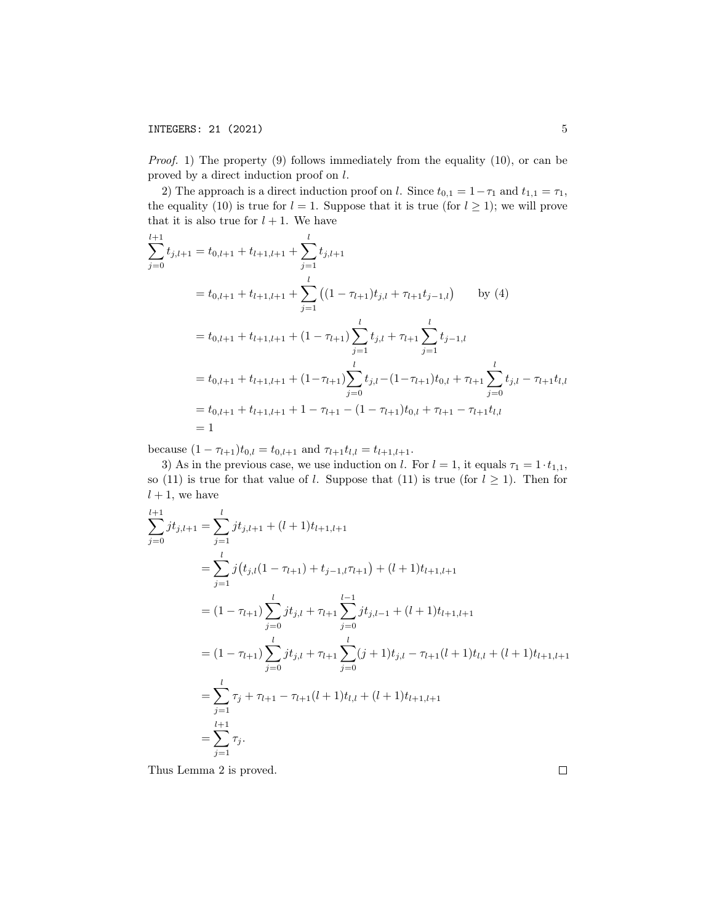# **INTEGERS: 21 (2021)** 5

Proof. 1) The property (9) follows immediately from the equality (10), or can be proved by a direct induction proof on l.

2) The approach is a direct induction proof on l. Since  $t_{0,1} = 1 - \tau_1$  and  $t_{1,1} = \tau_1$ , the equality (10) is true for  $l = 1$ . Suppose that it is true (for  $l \geq 1$ ); we will prove that it is also true for  $l + 1$ . We have

$$
\sum_{j=0}^{l+1} t_{j,l+1} = t_{0,l+1} + t_{l+1,l+1} + \sum_{j=1}^{l} t_{j,l+1}
$$
  
=  $t_{0,l+1} + t_{l+1,l+1} + \sum_{j=1}^{l} \left( (1 - \tau_{l+1}) t_{j,l} + \tau_{l+1} t_{j-1,l} \right)$  by (4)  
=  $t_{0,l+1} + t_{l+1,l+1} + (1 - \tau_{l+1}) \sum_{j=1}^{l} t_{j,l} + \tau_{l+1} \sum_{j=1}^{l} t_{j-1,l}$   
=  $t_{0,l+1} + t_{l+1,l+1} + (1 - \tau_{l+1}) \sum_{j=0}^{l} t_{j,l} - (1 - \tau_{l+1}) t_{0,l} + \tau_{l+1} \sum_{j=0}^{l} t_{j,l} - \tau_{l+1} t_{l,l}$   
=  $t_{0,l+1} + t_{l+1,l+1} + 1 - \tau_{l+1} - (1 - \tau_{l+1}) t_{0,l} + \tau_{l+1} - \tau_{l+1} t_{l,l}$   
= 1

because  $(1 - \tau_{l+1})t_{0,l} = t_{0,l+1}$  and  $\tau_{l+1}t_{l,l} = t_{l+1,l+1}$ .

3) As in the previous case, we use induction on l. For  $l = 1$ , it equals  $\tau_1 = 1 \cdot t_{1,1}$ , so (11) is true for that value of *l*. Suppose that (11) is true (for  $l \geq 1$ ). Then for  $l + 1$ , we have

$$
\sum_{j=0}^{l+1} jt_{j,l+1} = \sum_{j=1}^{l} jt_{j,l+1} + (l+1)t_{l+1,l+1}
$$
\n
$$
= \sum_{j=1}^{l} j(t_{j,l}(1 - \tau_{l+1}) + t_{j-1,l}\tau_{l+1}) + (l+1)t_{l+1,l+1}
$$
\n
$$
= (1 - \tau_{l+1}) \sum_{j=0}^{l} jt_{j,l} + \tau_{l+1} \sum_{j=0}^{l-1} jt_{j,l-1} + (l+1)t_{l+1,l+1}
$$
\n
$$
= (1 - \tau_{l+1}) \sum_{j=0}^{l} jt_{j,l} + \tau_{l+1} \sum_{j=0}^{l} (j+1)t_{j,l} - \tau_{l+1}(l+1)t_{l,l} + (l+1)t_{l+1,l+1}
$$
\n
$$
= \sum_{j=1}^{l} \tau_j + \tau_{l+1} - \tau_{l+1}(l+1)t_{l,l} + (l+1)t_{l+1,l+1}
$$
\n
$$
= \sum_{j=1}^{l+1} \tau_j.
$$

Thus Lemma 2 is proved.

 $\Box$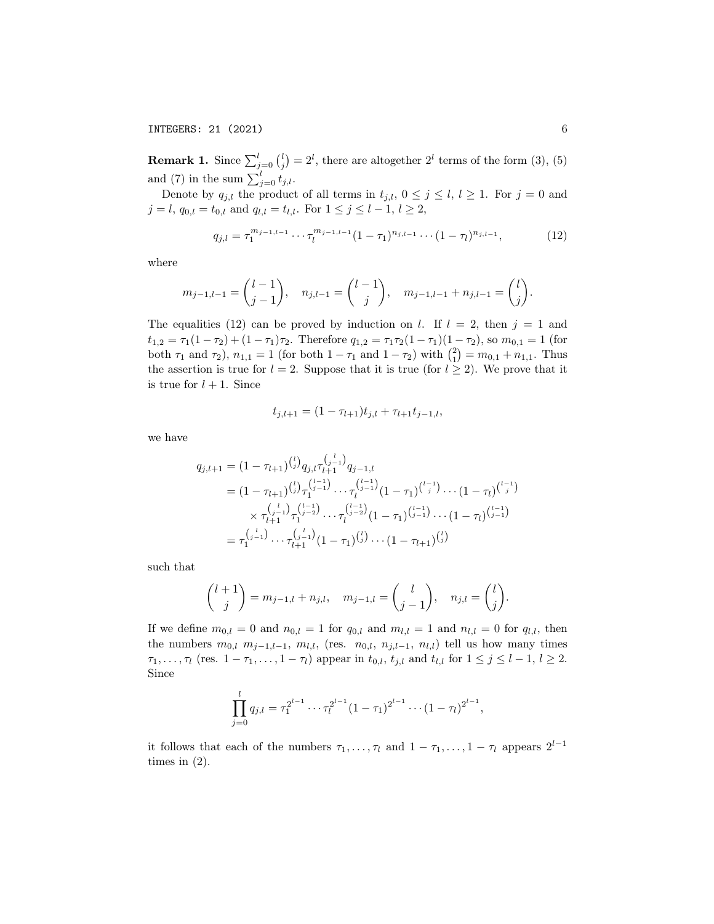INTEGERS: 21 (2021) 6

**Remark 1.** Since  $\sum_{j=0}^{l} {l \choose j} = 2^{l}$ , there are altogether  $2^{l}$  terms of the form (3), (5) and (7) in the sum  $\sum_{j=0}^{l} t_{j,l}$ .

Denote by  $q_{j,l}$  the product of all terms in  $t_{j,l}$ ,  $0 \le j \le l$ ,  $l \ge 1$ . For  $j = 0$  and  $j = l, q_{0,l} = t_{0,l} \text{ and } q_{l,l} = t_{l,l}. \text{ For } 1 \leq j \leq l-1, l \geq 2,$ 

$$
q_{j,l} = \tau_1^{m_{j-1,l-1}} \cdots \tau_l^{m_{j-1,l-1}} (1 - \tau_1)^{n_{j,l-1}} \cdots (1 - \tau_l)^{n_{j,l-1}}, \tag{12}
$$

where

$$
m_{j-1,l-1} = \begin{pmatrix} l-1 \\ j-1 \end{pmatrix}, n_{j,l-1} = \begin{pmatrix} l-1 \\ j \end{pmatrix}, m_{j-1,l-1} + n_{j,l-1} = \begin{pmatrix} l \\ j \end{pmatrix}.
$$

The equalities (12) can be proved by induction on l. If  $l = 2$ , then  $j = 1$  and  $t_{1,2} = \tau_1(1-\tau_2) + (1-\tau_1)\tau_2$ . Therefore  $q_{1,2} = \tau_1\tau_2(1-\tau_1)(1-\tau_2)$ , so  $m_{0,1} = 1$  (for both  $\tau_1$  and  $\tau_2$ ),  $n_{1,1} = 1$  (for both  $1 - \tau_1$  and  $1 - \tau_2$ ) with  $\binom{2}{1} = m_{0,1} + n_{1,1}$ . Thus the assertion is true for  $l = 2$ . Suppose that it is true (for  $l \geq 2$ ). We prove that it is true for  $l + 1$ . Since

$$
t_{j,l+1} = (1 - \tau_{l+1})t_{j,l} + \tau_{l+1}t_{j-1,l},
$$

we have

$$
q_{j,l+1} = (1 - \tau_{l+1})^{\binom{l}{j}} q_{j,l} \tau_{l+1}^{\binom{j-1}{j-1}} q_{j-1,l}
$$
  
\n
$$
= (1 - \tau_{l+1})^{\binom{l}{j}} \tau_1^{\binom{j-1}{j-1}} \cdots \tau_l^{\binom{j-1}{j-1}} (1 - \tau_1)^{\binom{l-1}{j}} \cdots (1 - \tau_l)^{\binom{l-1}{j}}
$$
  
\n
$$
\times \tau_{l+1}^{\binom{j-1}{j-1}} \tau_1^{\binom{j-1}{j-2}} \cdots \tau_l^{\binom{j-1}{j-2}} (1 - \tau_1)^{\binom{j-1}{j-1}} \cdots (1 - \tau_l)^{\binom{j-1}{j-1}}
$$
  
\n
$$
= \tau_1^{\binom{j-1}{j-1}} \cdots \tau_{l+1}^{\binom{j-1}{j-1}} (1 - \tau_1)^{\binom{l}{j}} \cdots (1 - \tau_{l+1})^{\binom{l}{j}}
$$

such that

$$
\binom{l+1}{j} = m_{j-1,l} + n_{j,l}, \quad m_{j-1,l} = \binom{l}{j-1}, \quad n_{j,l} = \binom{l}{j}.
$$

If we define  $m_{0,l} = 0$  and  $n_{0,l} = 1$  for  $q_{0,l}$  and  $m_{l,l} = 1$  and  $n_{l,l} = 0$  for  $q_{l,l}$ , then the numbers  $m_{0,l}$   $m_{j-1,l-1}$ ,  $m_{l,l}$ , (res.  $n_{0,l}$ ,  $n_{j,l-1}$ ,  $n_{l,l}$ ) tell us how many times  $\tau_1, \ldots, \tau_l$  (res.  $1 - \tau_1, \ldots, 1 - \tau_l$ ) appear in  $t_{0,l}, t_{j,l}$  and  $t_{l,l}$  for  $1 \leq j \leq l-1, l \geq 2$ . Since

$$
\prod_{j=0}^{l} q_{j,l} = \tau_1^{2^{l-1}} \cdots \tau_l^{2^{l-1}} (1 - \tau_1)^{2^{l-1}} \cdots (1 - \tau_l)^{2^{l-1}},
$$

it follows that each of the numbers  $\tau_1, \ldots, \tau_l$  and  $1 - \tau_1, \ldots, 1 - \tau_l$  appears  $2^{l-1}$ times in (2).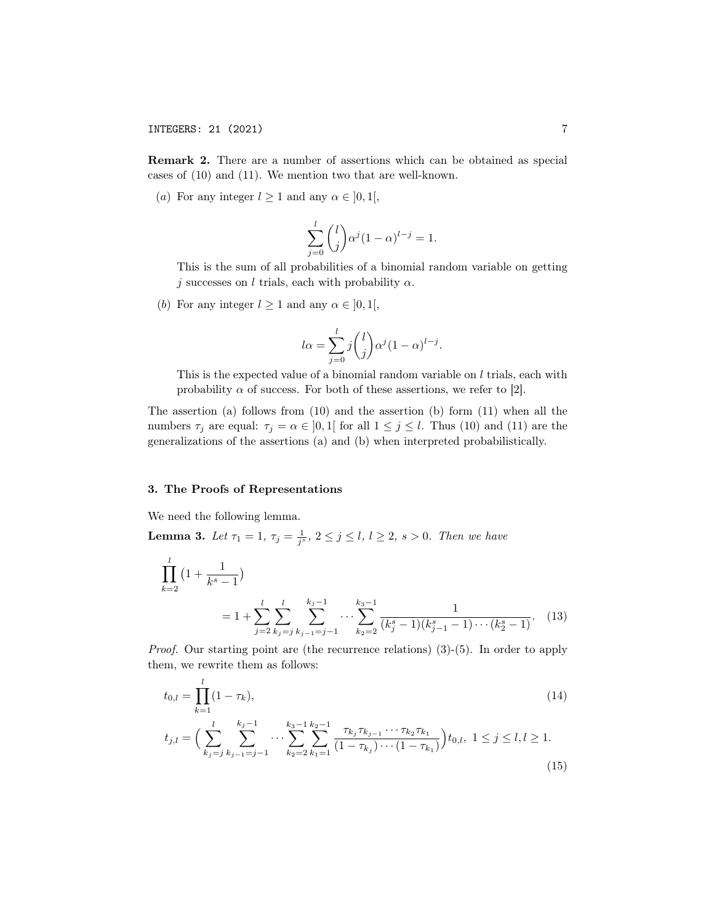Remark 2. There are a number of assertions which can be obtained as special cases of (10) and (11). We mention two that are well-known.

(a) For any integer  $l \geq 1$  and any  $\alpha \in [0, 1],$ 

$$
\sum_{j=0}^l \binom{l}{j} \alpha^j (1-\alpha)^{l-j} = 1.
$$

This is the sum of all probabilities of a binomial random variable on getting j successes on l trials, each with probability  $\alpha$ .

(b) For any integer  $l \geq 1$  and any  $\alpha \in ]0,1[,$ 

$$
l\alpha = \sum_{j=0}^{l} j \binom{l}{j} \alpha^{j} (1-\alpha)^{l-j}.
$$

This is the expected value of a binomial random variable on  $l$  trials, each with probability  $\alpha$  of success. For both of these assertions, we refer to [2].

The assertion (a) follows from (10) and the assertion (b) form (11) when all the numbers  $\tau_j$  are equal:  $\tau_j = \alpha \in [0,1]$  for all  $1 \leq j \leq l$ . Thus (10) and (11) are the generalizations of the assertions (a) and (b) when interpreted probabilistically.

### 3. The Proofs of Representations

We need the following lemma.

**Lemma 3.** Let  $\tau_1 = 1$ ,  $\tau_j = \frac{1}{j^s}$ ,  $2 \le j \le l$ ,  $l \ge 2$ ,  $s > 0$ . Then we have

$$
\prod_{k=2}^{l} \left(1 + \frac{1}{k^{s} - 1}\right)
$$
\n
$$
= 1 + \sum_{j=2}^{l} \sum_{k_{j} = j}^{l} \sum_{k_{j-1} = j-1}^{k_{j} - 1} \cdots \sum_{k_{2} = 2}^{k_{3} - 1} \frac{1}{(k_{j}^{s} - 1)(k_{j-1}^{s} - 1)\cdots(k_{2}^{s} - 1)}.
$$
\n(13)

*Proof.* Our starting point are (the recurrence relations)  $(3)-(5)$ . In order to apply them, we rewrite them as follows:

$$
t_{0,l} = \prod_{k=1}^{l} (1 - \tau_k),\tag{14}
$$

$$
t_{j,l} = \Big(\sum_{k_j=j}^{l} \sum_{k_{j-1}=j-1}^{k_j-1} \cdots \sum_{k_2=2}^{k_3-1} \sum_{k_1=1}^{k_2-1} \frac{\tau_{k_j} \tau_{k_{j-1}} \cdots \tau_{k_2} \tau_{k_1}}{(1-\tau_{k_j}) \cdots (1-\tau_{k_1})}\Big) t_{0,l}, \ 1 \le j \le l, l \ge 1.
$$
\n
$$
(15)
$$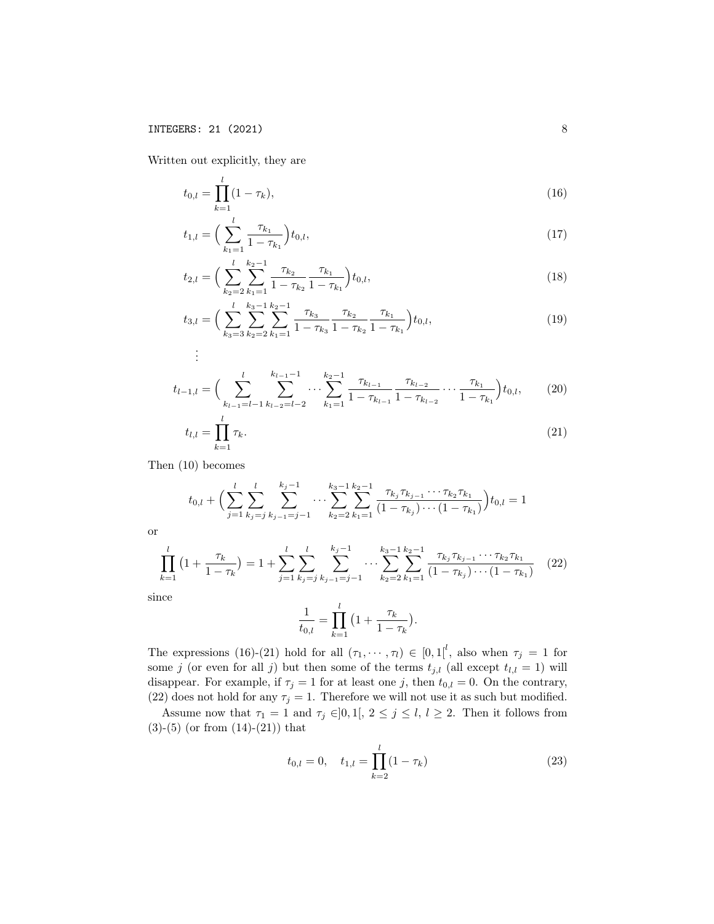Written out explicitly, they are

$$
t_{0,l} = \prod_{k=1}^{l} (1 - \tau_k),\tag{16}
$$

$$
t_{1,l} = \left(\sum_{k_1=1}^{l} \frac{\tau_{k_1}}{1 - \tau_{k_1}}\right) t_{0,l},\tag{17}
$$

$$
t_{2,l} = \left(\sum_{k_2=2}^{l} \sum_{k_1=1}^{k_2-1} \frac{\tau_{k_2}}{1 - \tau_{k_2}} \frac{\tau_{k_1}}{1 - \tau_{k_1}}\right) t_{0,l},\tag{18}
$$

$$
t_{3,l} = \left(\sum_{k_3=3}^{l} \sum_{k_2=2}^{k_3-1} \sum_{k_1=1}^{k_2-1} \frac{\tau_{k_3}}{1-\tau_{k_3}} \frac{\tau_{k_2}}{1-\tau_{k_2}} \frac{\tau_{k_1}}{1-\tau_{k_1}}\right) t_{0,l},\tag{19}
$$

$$
\vdots
$$

$$
t_{l-1,l} = \left(\sum_{k_{l-1}=l-1}^{l} \sum_{k_{l-2}=l-2}^{k_{l-1}-1} \cdots \sum_{k_1=1}^{k_2-1} \frac{\tau_{k_{l-1}}}{1-\tau_{k_{l-1}}} \frac{\tau_{k_{l-2}}}{1-\tau_{k_{l-2}}} \cdots \frac{\tau_{k_1}}{1-\tau_{k_1}}\right) t_{0,l},\qquad(20)
$$

$$
t_{l,l} = \prod_{k=1}^{l} \tau_k.
$$
\n
$$
(21)
$$

Then (10) becomes

$$
t_{0,l} + \Big(\sum_{j=1}^{l} \sum_{k_j=j}^{l} \sum_{k_{j-1}=j-1}^{k_j-1} \cdots \sum_{k_2=2}^{k_3-1} \sum_{k_1=1}^{k_2-1} \frac{\tau_{k_j} \tau_{k_{j-1}} \cdots \tau_{k_2} \tau_{k_1}}{(1-\tau_{k_j}) \cdots (1-\tau_{k_1})}\Big) t_{0,l} = 1
$$

or

$$
\prod_{k=1}^{l} \left(1 + \frac{\tau_k}{1 - \tau_k}\right) = 1 + \sum_{j=1}^{l} \sum_{k_j = j}^{l} \sum_{k_j = j-1}^{k_j - 1} \cdots \sum_{k_2 = 2}^{k_3 - 1} \sum_{k_1 = 1}^{k_2 - 1} \frac{\tau_{k_j} \tau_{k_{j-1}} \cdots \tau_{k_2} \tau_{k_1}}{\left(1 - \tau_{k_j}\right) \cdots \left(1 - \tau_{k_1}\right)} \tag{22}
$$

since

$$
\frac{1}{t_{0,l}} = \prod_{k=1}^{l} \left( 1 + \frac{\tau_k}{1 - \tau_k} \right).
$$

The expressions (16)-(21) hold for all  $(\tau_1, \dots, \tau_l) \in [0,1]^l$ , also when  $\tau_j = 1$  for some j (or even for all j) but then some of the terms  $t_{j,l}$  (all except  $t_{l,l} = 1$ ) will disappear. For example, if  $\tau_j = 1$  for at least one j, then  $t_{0,l} = 0$ . On the contrary, (22) does not hold for any  $\tau_j = 1$ . Therefore we will not use it as such but modified.

Assume now that  $\tau_1 = 1$  and  $\tau_j \in ]0,1[, 2 \leq j \leq l, l \geq 2$ . Then it follows from  $(3)-(5)$  (or from  $(14)-(21)$ ) that

$$
t_{0,l} = 0, \quad t_{1,l} = \prod_{k=2}^{l} (1 - \tau_k)
$$
\n(23)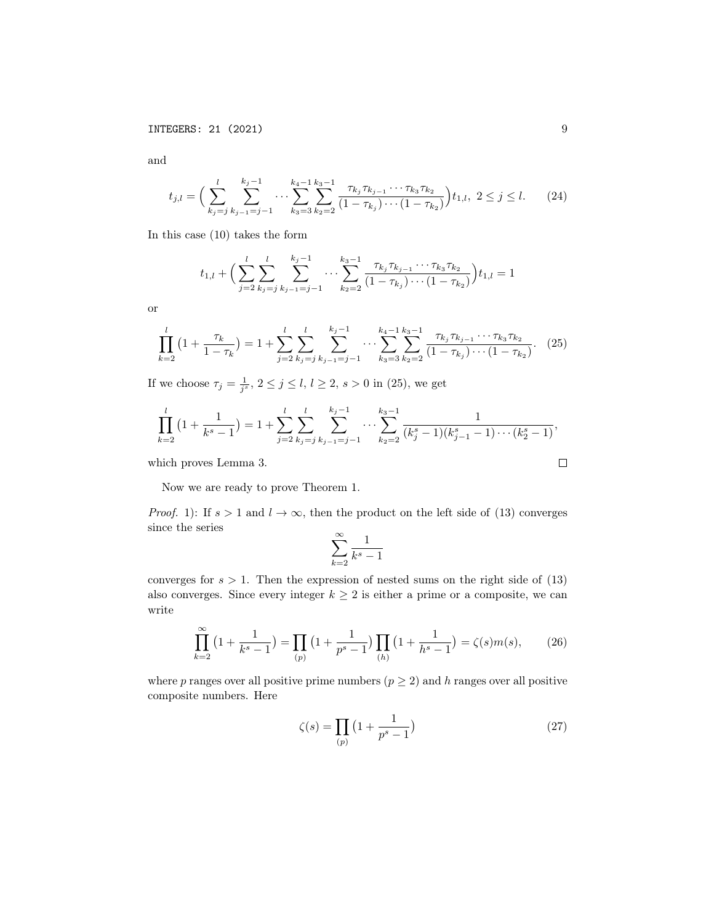and

$$
t_{j,l} = \Big(\sum_{k_j=j}^{l} \sum_{k_{j-1}=j-1}^{k_j-1} \cdots \sum_{k_3=3}^{k_4-1} \sum_{k_2=2}^{k_3-1} \frac{\tau_{k_j} \tau_{k_{j-1}} \cdots \tau_{k_3} \tau_{k_2}}{(1-\tau_{k_j}) \cdots (1-\tau_{k_2})} \Big) t_{1,l}, \ 2 \le j \le l. \tag{24}
$$

In this case (10) takes the form

$$
t_{1,l} + \Big(\sum_{j=2}^{l} \sum_{k_j=j}^{l} \sum_{k_{j-1}=j-1}^{k_j-1} \cdots \sum_{k_{2}=2}^{k_{3}-1} \frac{\tau_{k_j} \tau_{k_{j-1}} \cdots \tau_{k_3} \tau_{k_2}}{(1 - \tau_{k_j}) \cdots (1 - \tau_{k_2})}\Big) t_{1,l} = 1
$$

or

$$
\prod_{k=2}^{l} \left(1 + \frac{\tau_k}{1 - \tau_k}\right) = 1 + \sum_{j=2}^{l} \sum_{k_j=j}^{l} \sum_{k_{j-1}=j-1}^{k_j-1} \cdots \sum_{k_3=3}^{k_4-1} \sum_{k_2=2}^{k_3-1} \frac{\tau_{k_j} \tau_{k_{j-1}} \cdots \tau_{k_3} \tau_{k_2}}{\left(1 - \tau_{k_j}\right) \cdots \left(1 - \tau_{k_2}\right)}.
$$
 (25)

If we choose  $\tau_j = \frac{1}{j^s}, 2 \le j \le l, l \ge 2, s > 0$  in (25), we get

$$
\prod_{k=2}^{l} \left(1 + \frac{1}{k^{s} - 1}\right) = 1 + \sum_{j=2}^{l} \sum_{k_j = j}^{l} \sum_{k_{j-1} = j-1}^{k_{j} - 1} \cdots \sum_{k_2 = 2}^{k_3 - 1} \frac{1}{(k_j^{s} - 1)(k_{j-1}^{s} - 1)\cdots(k_2^{s} - 1)},
$$

which proves Lemma 3.

Now we are ready to prove Theorem 1.

*Proof.* 1): If  $s > 1$  and  $l \to \infty$ , then the product on the left side of (13) converges since the series

$$
\sum_{k=2}^{\infty} \frac{1}{k^s-1}
$$

converges for  $s > 1$ . Then the expression of nested sums on the right side of  $(13)$ also converges. Since every integer  $k \geq 2$  is either a prime or a composite, we can write

$$
\prod_{k=2}^{\infty} \left( 1 + \frac{1}{k^s - 1} \right) = \prod_{(p)} \left( 1 + \frac{1}{p^s - 1} \right) \prod_{(h)} \left( 1 + \frac{1}{h^s - 1} \right) = \zeta(s)m(s),\tag{26}
$$

where p ranges over all positive prime numbers  $(p \geq 2)$  and h ranges over all positive composite numbers. Here

$$
\zeta(s) = \prod_{(p)} \left( 1 + \frac{1}{p^s - 1} \right) \tag{27}
$$

 $\Box$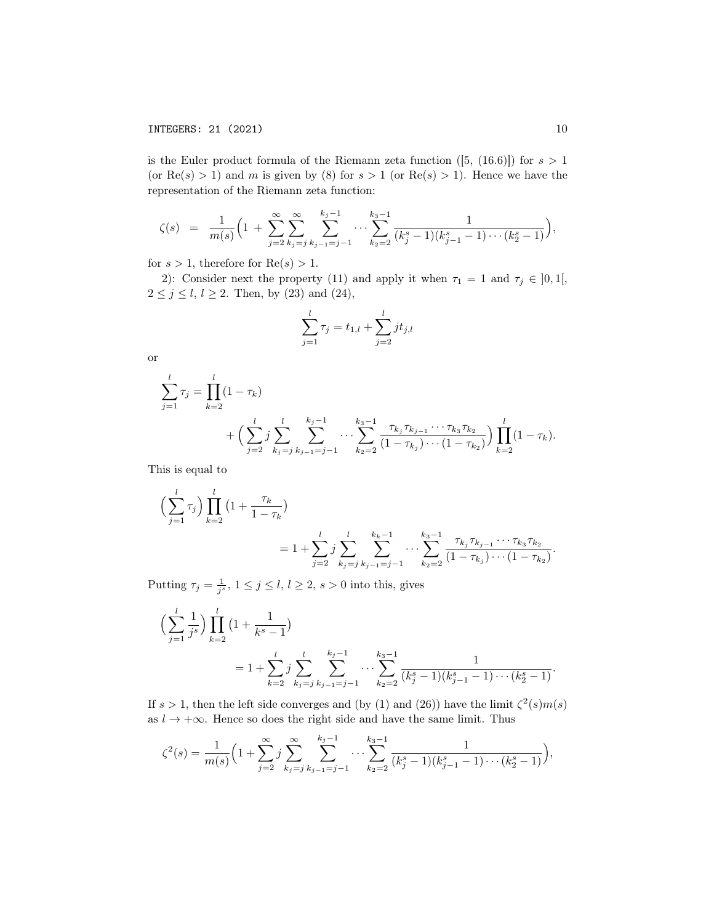is the Euler product formula of the Riemann zeta function  $([5, (16.6)])$  for  $s > 1$ (or  $\text{Re}(s) > 1$ ) and m is given by (8) for  $s > 1$  (or  $\text{Re}(s) > 1$ ). Hence we have the representation of the Riemann zeta function:

$$
\zeta(s) = \frac{1}{m(s)} \Big( 1 + \sum_{j=2}^{\infty} \sum_{k_j=j}^{\infty} \sum_{k_{j-1}=j-1}^{k_j-1} \cdots \sum_{k_2=2}^{k_3-1} \frac{1}{(k_j^s-1)(k_{j-1}^s-1)\cdots (k_2^s-1)} \Big),
$$

for  $s > 1$ , therefore for  $Re(s) > 1$ .

2): Consider next the property (11) and apply it when  $\tau_1 = 1$  and  $\tau_j \in ]0,1[,$  $2 \le j \le l, l \ge 2$ . Then, by (23) and (24),

$$
\sum_{j=1}^{l} \tau_j = t_{1,l} + \sum_{j=2}^{l} j t_{j,l}
$$

or

$$
\sum_{j=1}^{l} \tau_j = \prod_{k=2}^{l} (1 - \tau_k) + \left( \sum_{j=2}^{l} j \sum_{k_j=j}^{l} \sum_{k_{j-1}=j-1}^{k_j-1} \cdots \sum_{k_{2}=2}^{k_{3}-1} \frac{\tau_{k_j} \tau_{k_{j-1}} \cdots \tau_{k_{3}} \tau_{k_{2}}}{(1 - \tau_{k_j}) \cdots (1 - \tau_{k_{2}})} \right) \prod_{k=2}^{l} (1 - \tau_k).
$$

This is equal to

$$
\left(\sum_{j=1}^{l} \tau_{j}\right) \prod_{k=2}^{l} \left(1 + \frac{\tau_{k}}{1 - \tau_{k}}\right)
$$
  
=  $1 + \sum_{j=2}^{l} j \sum_{k_{j}=j}^{l} \sum_{k_{j-1}=j-1}^{k_{k}-1} \cdots \sum_{k_{2}=2}^{k_{3}-1} \frac{\tau_{k_{j}} \tau_{k_{j-1}} \cdots \tau_{k_{3}} \tau_{k_{2}}}{\left(1 - \tau_{k_{j}}\right) \cdots \left(1 - \tau_{k_{2}}\right)}$ .

Putting  $\tau_j = \frac{1}{j^s}$ ,  $1 \le j \le l$ ,  $l \ge 2$ ,  $s > 0$  into this, gives

$$
\left(\sum_{j=1}^{l} \frac{1}{j^{s}}\right) \prod_{k=2}^{l} \left(1 + \frac{1}{k^{s} - 1}\right)
$$
  
=  $1 + \sum_{k=2}^{l} j \sum_{k_{j} = j}^{l} \sum_{k_{j-1} = j-1}^{k_{j}-1} \cdots \sum_{k_{2}=2}^{k_{3}-1} \frac{1}{(k_{j}^{s} - 1)(k_{j-1}^{s} - 1)\cdots(k_{2}^{s} - 1)}.$ 

If  $s > 1$ , then the left side converges and (by (1) and (26)) have the limit  $\zeta^2(s)m(s)$ as  $l \to +\infty$ . Hence so does the right side and have the same limit. Thus

$$
\zeta^{2}(s) = \frac{1}{m(s)} \Big( 1 + \sum_{j=2}^{\infty} \sum_{k_{j}=j}^{\infty} \sum_{k_{j-1}=j-1}^{k_{j}-1} \cdots \sum_{k_{2}=2}^{k_{3}-1} \frac{1}{(k_{j}^{s}-1)(k_{j-1}^{s}-1)\cdots(k_{2}^{s}-1)} \Big),
$$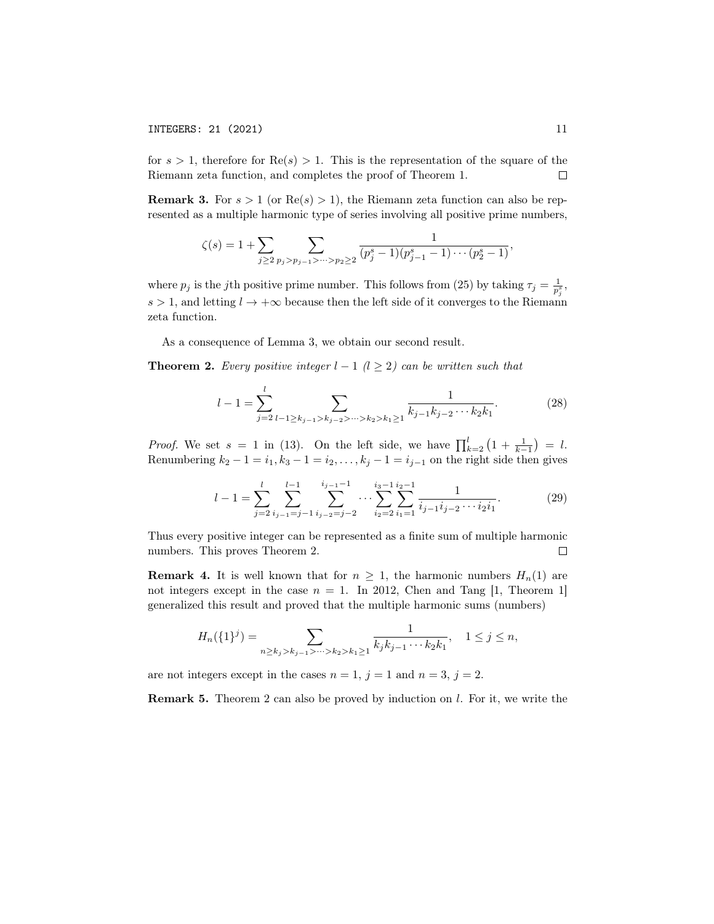INTEGERS: 21 (2021) 11

for  $s > 1$ , therefore for  $\text{Re}(s) > 1$ . This is the representation of the square of the Riemann zeta function, and completes the proof of Theorem 1.  $\Box$ 

**Remark 3.** For  $s > 1$  (or  $Re(s) > 1$ ), the Riemann zeta function can also be represented as a multiple harmonic type of series involving all positive prime numbers,

$$
\zeta(s) = 1 + \sum_{j \ge 2} \sum_{p_j > p_{j-1} > \dots > p_2 \ge 2} \frac{1}{(p_j^s - 1)(p_{j-1}^s - 1)\dots(p_2^s - 1)},
$$

where  $p_j$  is the jth positive prime number. This follows from (25) by taking  $\tau_j = \frac{1}{p_j^s}$ ,  $s > 1$ , and letting  $l \to +\infty$  because then the left side of it converges to the Riemann zeta function.

As a consequence of Lemma 3, we obtain our second result.

**Theorem 2.** Every positive integer  $l - 1$  ( $l \geq 2$ ) can be written such that

$$
l - 1 = \sum_{j=2}^{l} \sum_{l-1 \ge k_{j-1} > k_{j-2} > \dots > k_2 > k_1 \ge 1} \frac{1}{k_{j-1}k_{j-2}\dots k_2k_1}.
$$
 (28)

*Proof.* We set  $s = 1$  in (13). On the left side, we have  $\prod_{k=2}^{l} (1 + \frac{1}{k-1}) = l$ . Renumbering  $k_2 - 1 = i_1, k_3 - 1 = i_2, \ldots, k_j - 1 = i_{j-1}$  on the right side then gives

$$
l-1 = \sum_{j=2}^{l} \sum_{i_{j-1}=j-1}^{l-1} \sum_{i_{j-2}=j-2}^{i_{j-1}-1} \cdots \sum_{i_{2}=2}^{i_{3}-1} \sum_{i_{1}=1}^{i_{2}-1} \frac{1}{i_{j-1}i_{j-2}\cdots i_{2}i_{1}}.
$$
 (29)

Thus every positive integer can be represented as a finite sum of multiple harmonic numbers. This proves Theorem 2.  $\Box$ 

**Remark 4.** It is well known that for  $n \geq 1$ , the harmonic numbers  $H_n(1)$  are not integers except in the case  $n = 1$ . In 2012, Chen and Tang [1, Theorem 1] generalized this result and proved that the multiple harmonic sums (numbers)

$$
H_n(\{1\}^j) = \sum_{n \ge k_j > k_{j-1} > \dots > k_2 > k_1 \ge 1} \frac{1}{k_j k_{j-1} \dots k_2 k_1}, \quad 1 \le j \le n,
$$

are not integers except in the cases  $n = 1$ ,  $j = 1$  and  $n = 3$ ,  $j = 2$ .

**Remark 5.** Theorem 2 can also be proved by induction on  $l$ . For it, we write the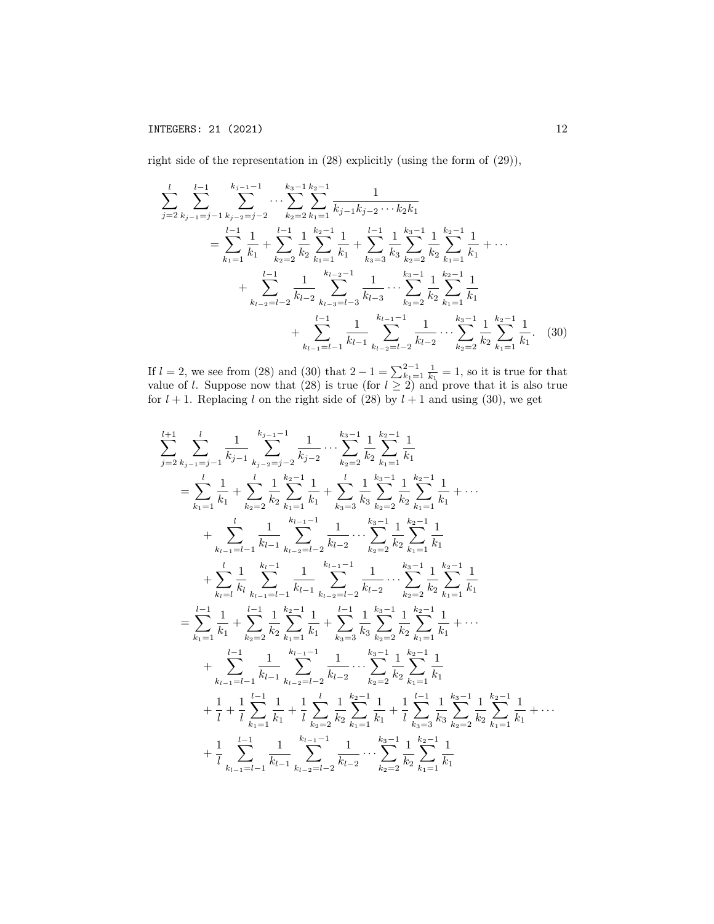right side of the representation in (28) explicitly (using the form of (29)),

$$
\sum_{j=2}^{l} \sum_{k_{j-1}=j-1}^{l-1} \sum_{k_{j-2}=j-2}^{k_{j-1}-1} \cdots \sum_{k_{2}=2}^{k_{3}-1} \sum_{k_{1}=1}^{k_{2}-1} \frac{1}{k_{j-1}k_{j-2}\cdots k_{2}k_{1}} \n= \sum_{k_{1}=1}^{l-1} \frac{1}{k_{1}} + \sum_{k_{2}=2}^{l-1} \frac{1}{k_{2}} \sum_{k_{1}=1}^{k_{2}-1} \frac{1}{k_{1}} + \sum_{k_{3}=3}^{l-1} \frac{1}{k_{3}} \sum_{k_{2}=2}^{k_{3}-1} \frac{1}{k_{2}} \sum_{k_{1}=1}^{k-1} \frac{1}{k_{1}} + \cdots \n+ \sum_{k_{l-2}=l-2}^{l-1} \frac{1}{k_{l-2}} \sum_{k_{l-3}=l-3}^{k_{l-2}-1} \frac{1}{k_{l-3}} \cdots \sum_{k_{2}=2}^{k_{3}-1} \frac{1}{k_{2}} \sum_{k_{1}=1}^{k_{2}-1} \frac{1}{k_{1}} \n+ \sum_{k_{l-1}=l-1}^{l-1} \frac{1}{k_{l-1}} \sum_{k_{l-2}=l-2}^{k_{l-1}-1} \frac{1}{k_{l-2}} \cdots \sum_{k_{2}=2}^{k_{3}-1} \frac{1}{k_{2}} \sum_{k_{1}=1}^{k_{2}-1} \frac{1}{k_{1}}.
$$
 (30)

If  $l = 2$ , we see from (28) and (30) that  $2 - 1 = \sum_{k=1}^{2-1} \frac{1}{k_1} = 1$ , so it is true for that value of l. Suppose now that (28) is true (for  $l \geq 2$ ) and prove that it is also true for  $l + 1$ . Replacing l on the right side of (28) by  $l + 1$  and using (30), we get

$$
\sum_{j=2}^{l+1} \sum_{k_{j-1}=j-1}^{l} \frac{1}{k_{j-1}} \sum_{k_{j-2}=j-2}^{k_{j-1}-1} \frac{1}{k_{j-2}} \cdots \sum_{k_{2}=2}^{k_{3}-1} \frac{1}{k_{2}} \sum_{k_{1}=1}^{k_{2}-1} \frac{1}{k_{1}}
$$
\n
$$
= \sum_{k_{1}=1}^{l} \frac{1}{k_{1}} + \sum_{k_{2}=2}^{l} \frac{1}{k_{2}} \sum_{k_{1}=1}^{k_{2}-1} \frac{1}{k_{1}} + \sum_{k_{3}=3}^{l} \frac{1}{k_{3}} \sum_{k_{2}=2}^{k_{3}-1} \frac{1}{k_{2}} \sum_{k_{1}=1}^{k_{2}-1} \frac{1}{k_{1}} + \cdots + \sum_{k_{l-1}=l-1}^{l} \frac{1}{k_{l-1}} \sum_{k_{l-2}=l-2}^{k_{l-1}-1} \frac{1}{k_{l-2}} \cdots \sum_{k_{2}=2}^{k_{3}-1} \frac{1}{k_{2}} \sum_{k_{1}=1}^{k_{2}-1} \frac{1}{k_{1}}
$$
\n
$$
+ \sum_{k_{l}=l}^{l} \frac{1}{k_{l}} \sum_{k_{l-1}=l-1}^{k_{l-1}} \frac{1}{k_{l-1}} \sum_{k_{l-2}=l-2}^{k_{l-1}-1} \frac{1}{k_{l-2}} \cdots \sum_{k_{2}=2}^{k_{3}-1} \frac{1}{k_{2}} \sum_{k_{1}=1}^{k_{2}-1} \frac{1}{k_{1}}
$$
\n
$$
= \sum_{k_{1}=1}^{l-1} \frac{1}{k_{1}} + \sum_{k_{2}=2}^{l-1} \frac{1}{k_{2}} \sum_{k_{1}=1}^{k_{2}-1} \frac{1}{k_{1}} + \sum_{k_{3}=3}^{l} \frac{1}{k_{3}} \sum_{k_{2}=2}^{k_{3}-1} \frac{1}{k_{2}} \sum_{k_{1}=1}^{k_{2}-1} \frac{1}{k_{1}} + \cdots + \sum_{k_{l-1}=l-1}^{l-1} \frac{1}{k_{l-1}} \sum_{k_{l-2}=l-2}^{k_{l-1}-1} \frac{1}{k_{l-
$$